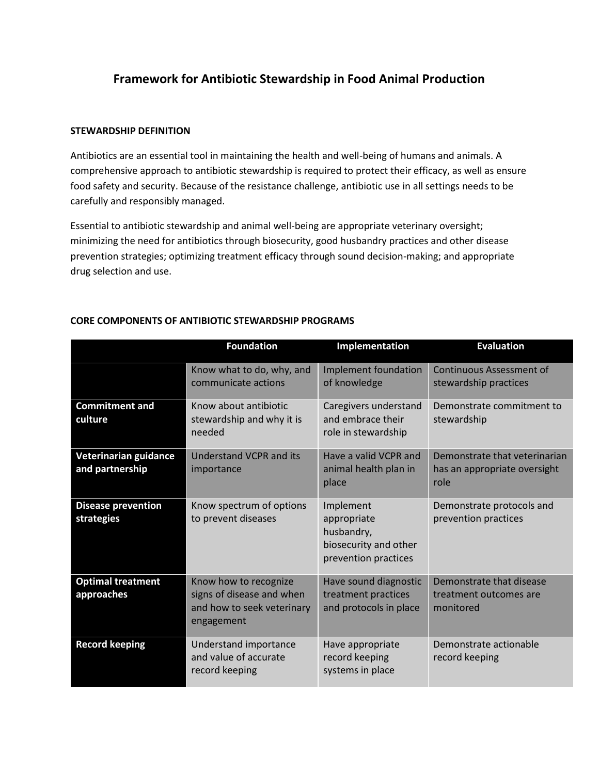## **Framework for Antibiotic Stewardship in Food Animal Production**

## **STEWARDSHIP DEFINITION**

Antibiotics are an essential tool in maintaining the health and well-being of humans and animals. A comprehensive approach to antibiotic stewardship is required to protect their efficacy, as well as ensure food safety and security. Because of the resistance challenge, antibiotic use in all settings needs to be carefully and responsibly managed.

Essential to antibiotic stewardship and animal well-being are appropriate veterinary oversight; minimizing the need for antibiotics through biosecurity, good husbandry practices and other disease prevention strategies; optimizing treatment efficacy through sound decision-making; and appropriate drug selection and use.

|                                          | <b>Foundation</b>                                                                              | Implementation                                                                          | <b>Evaluation</b>                                                     |
|------------------------------------------|------------------------------------------------------------------------------------------------|-----------------------------------------------------------------------------------------|-----------------------------------------------------------------------|
|                                          | Know what to do, why, and<br>communicate actions                                               | Implement foundation<br>of knowledge                                                    | Continuous Assessment of<br>stewardship practices                     |
| <b>Commitment and</b><br>culture         | Know about antibiotic<br>stewardship and why it is<br>needed                                   | Caregivers understand<br>and embrace their<br>role in stewardship                       | Demonstrate commitment to<br>stewardship                              |
| Veterinarian guidance<br>and partnership | Understand VCPR and its<br>importance                                                          | Have a valid VCPR and<br>animal health plan in<br>place                                 | Demonstrate that veterinarian<br>has an appropriate oversight<br>role |
| <b>Disease prevention</b><br>strategies  | Know spectrum of options<br>to prevent diseases                                                | Implement<br>appropriate<br>husbandry,<br>biosecurity and other<br>prevention practices | Demonstrate protocols and<br>prevention practices                     |
| <b>Optimal treatment</b><br>approaches   | Know how to recognize<br>signs of disease and when<br>and how to seek veterinary<br>engagement | Have sound diagnostic<br>treatment practices<br>and protocols in place                  | Demonstrate that disease<br>treatment outcomes are<br>monitored       |
| <b>Record keeping</b>                    | Understand importance<br>and value of accurate<br>record keeping                               | Have appropriate<br>record keeping<br>systems in place                                  | Demonstrate actionable<br>record keeping                              |

## **CORE COMPONENTS OF ANTIBIOTIC STEWARDSHIP PROGRAMS**